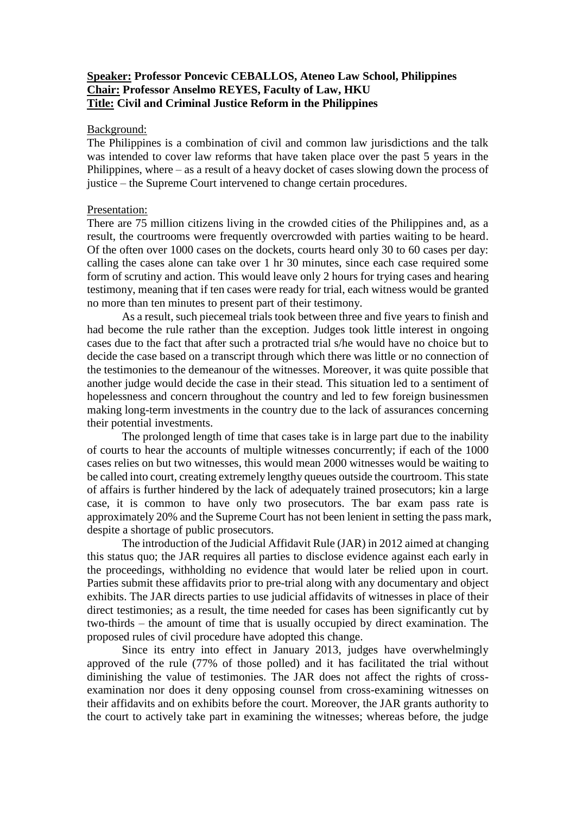### **Speaker: Professor Poncevic CEBALLOS, Ateneo Law School, Philippines Chair: Professor Anselmo REYES, Faculty of Law, HKU Title: Civil and Criminal Justice Reform in the Philippines**

#### Background:

The Philippines is a combination of civil and common law jurisdictions and the talk was intended to cover law reforms that have taken place over the past 5 years in the Philippines, where – as a result of a heavy docket of cases slowing down the process of justice – the Supreme Court intervened to change certain procedures.

#### Presentation:

There are 75 million citizens living in the crowded cities of the Philippines and, as a result, the courtrooms were frequently overcrowded with parties waiting to be heard. Of the often over 1000 cases on the dockets, courts heard only 30 to 60 cases per day: calling the cases alone can take over 1 hr 30 minutes, since each case required some form of scrutiny and action. This would leave only 2 hours for trying cases and hearing testimony, meaning that if ten cases were ready for trial, each witness would be granted no more than ten minutes to present part of their testimony.

As a result, such piecemeal trials took between three and five years to finish and had become the rule rather than the exception. Judges took little interest in ongoing cases due to the fact that after such a protracted trial s/he would have no choice but to decide the case based on a transcript through which there was little or no connection of the testimonies to the demeanour of the witnesses. Moreover, it was quite possible that another judge would decide the case in their stead. This situation led to a sentiment of hopelessness and concern throughout the country and led to few foreign businessmen making long-term investments in the country due to the lack of assurances concerning their potential investments.

The prolonged length of time that cases take is in large part due to the inability of courts to hear the accounts of multiple witnesses concurrently; if each of the 1000 cases relies on but two witnesses, this would mean 2000 witnesses would be waiting to be called into court, creating extremely lengthy queues outside the courtroom. This state of affairs is further hindered by the lack of adequately trained prosecutors; kin a large case, it is common to have only two prosecutors. The bar exam pass rate is approximately 20% and the Supreme Court has not been lenient in setting the pass mark, despite a shortage of public prosecutors.

The introduction of the Judicial Affidavit Rule (JAR) in 2012 aimed at changing this status quo; the JAR requires all parties to disclose evidence against each early in the proceedings, withholding no evidence that would later be relied upon in court. Parties submit these affidavits prior to pre-trial along with any documentary and object exhibits. The JAR directs parties to use judicial affidavits of witnesses in place of their direct testimonies; as a result, the time needed for cases has been significantly cut by two-thirds – the amount of time that is usually occupied by direct examination. The proposed rules of civil procedure have adopted this change.

Since its entry into effect in January 2013, judges have overwhelmingly approved of the rule (77% of those polled) and it has facilitated the trial without diminishing the value of testimonies. The JAR does not affect the rights of crossexamination nor does it deny opposing counsel from cross-examining witnesses on their affidavits and on exhibits before the court. Moreover, the JAR grants authority to the court to actively take part in examining the witnesses; whereas before, the judge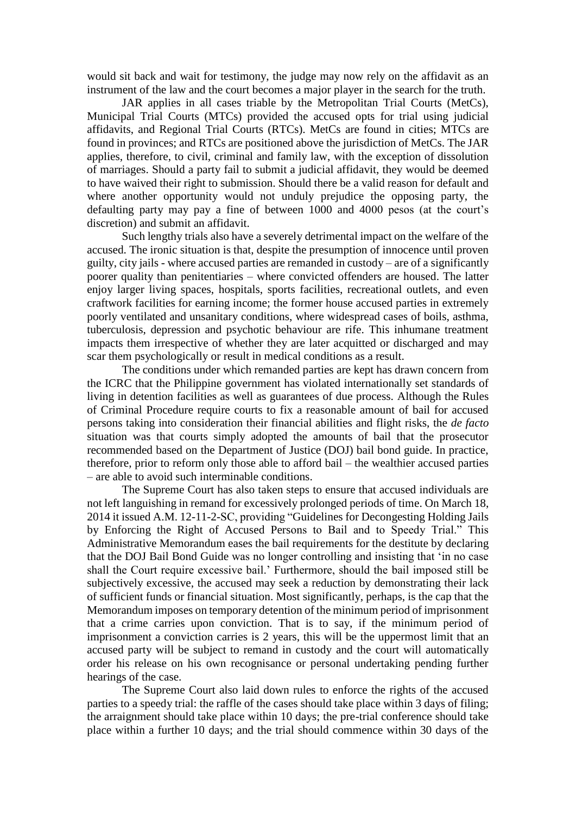would sit back and wait for testimony, the judge may now rely on the affidavit as an instrument of the law and the court becomes a major player in the search for the truth.

JAR applies in all cases triable by the Metropolitan Trial Courts (MetCs), Municipal Trial Courts (MTCs) provided the accused opts for trial using judicial affidavits, and Regional Trial Courts (RTCs). MetCs are found in cities; MTCs are found in provinces; and RTCs are positioned above the jurisdiction of MetCs. The JAR applies, therefore, to civil, criminal and family law, with the exception of dissolution of marriages. Should a party fail to submit a judicial affidavit, they would be deemed to have waived their right to submission. Should there be a valid reason for default and where another opportunity would not unduly prejudice the opposing party, the defaulting party may pay a fine of between 1000 and 4000 pesos (at the court's discretion) and submit an affidavit.

Such lengthy trials also have a severely detrimental impact on the welfare of the accused. The ironic situation is that, despite the presumption of innocence until proven guilty, city jails - where accused parties are remanded in custody – are of a significantly poorer quality than penitentiaries – where convicted offenders are housed. The latter enjoy larger living spaces, hospitals, sports facilities, recreational outlets, and even craftwork facilities for earning income; the former house accused parties in extremely poorly ventilated and unsanitary conditions, where widespread cases of boils, asthma, tuberculosis, depression and psychotic behaviour are rife. This inhumane treatment impacts them irrespective of whether they are later acquitted or discharged and may scar them psychologically or result in medical conditions as a result.

The conditions under which remanded parties are kept has drawn concern from the ICRC that the Philippine government has violated internationally set standards of living in detention facilities as well as guarantees of due process. Although the Rules of Criminal Procedure require courts to fix a reasonable amount of bail for accused persons taking into consideration their financial abilities and flight risks, the *de facto* situation was that courts simply adopted the amounts of bail that the prosecutor recommended based on the Department of Justice (DOJ) bail bond guide. In practice, therefore, prior to reform only those able to afford bail – the wealthier accused parties – are able to avoid such interminable conditions.

The Supreme Court has also taken steps to ensure that accused individuals are not left languishing in remand for excessively prolonged periods of time. On March 18, 2014 it issued A.M. 12-11-2-SC, providing "Guidelines for Decongesting Holding Jails by Enforcing the Right of Accused Persons to Bail and to Speedy Trial." This Administrative Memorandum eases the bail requirements for the destitute by declaring that the DOJ Bail Bond Guide was no longer controlling and insisting that 'in no case shall the Court require excessive bail.' Furthermore, should the bail imposed still be subjectively excessive, the accused may seek a reduction by demonstrating their lack of sufficient funds or financial situation. Most significantly, perhaps, is the cap that the Memorandum imposes on temporary detention of the minimum period of imprisonment that a crime carries upon conviction. That is to say, if the minimum period of imprisonment a conviction carries is 2 years, this will be the uppermost limit that an accused party will be subject to remand in custody and the court will automatically order his release on his own recognisance or personal undertaking pending further hearings of the case.

The Supreme Court also laid down rules to enforce the rights of the accused parties to a speedy trial: the raffle of the cases should take place within 3 days of filing; the arraignment should take place within 10 days; the pre-trial conference should take place within a further 10 days; and the trial should commence within 30 days of the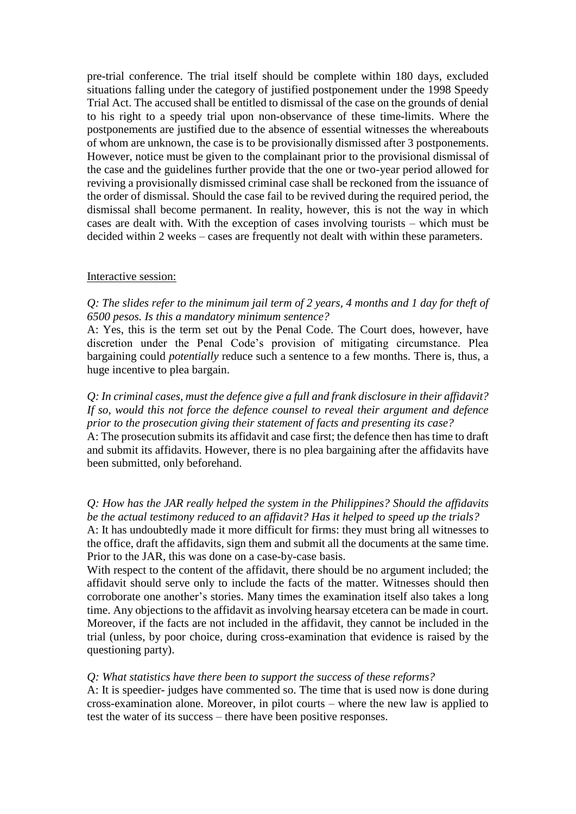pre-trial conference. The trial itself should be complete within 180 days, excluded situations falling under the category of justified postponement under the 1998 Speedy Trial Act. The accused shall be entitled to dismissal of the case on the grounds of denial to his right to a speedy trial upon non-observance of these time-limits. Where the postponements are justified due to the absence of essential witnesses the whereabouts of whom are unknown, the case is to be provisionally dismissed after 3 postponements. However, notice must be given to the complainant prior to the provisional dismissal of the case and the guidelines further provide that the one or two-year period allowed for reviving a provisionally dismissed criminal case shall be reckoned from the issuance of the order of dismissal. Should the case fail to be revived during the required period, the dismissal shall become permanent. In reality, however, this is not the way in which cases are dealt with. With the exception of cases involving tourists – which must be decided within 2 weeks – cases are frequently not dealt with within these parameters.

#### Interactive session:

## *Q: The slides refer to the minimum jail term of 2 years, 4 months and 1 day for theft of 6500 pesos. Is this a mandatory minimum sentence?*

A: Yes, this is the term set out by the Penal Code. The Court does, however, have discretion under the Penal Code's provision of mitigating circumstance. Plea bargaining could *potentially* reduce such a sentence to a few months. There is, thus, a huge incentive to plea bargain.

*Q: In criminal cases, must the defence give a full and frank disclosure in their affidavit? If so, would this not force the defence counsel to reveal their argument and defence prior to the prosecution giving their statement of facts and presenting its case?*

A: The prosecution submits its affidavit and case first; the defence then has time to draft and submit its affidavits. However, there is no plea bargaining after the affidavits have been submitted, only beforehand.

*Q: How has the JAR really helped the system in the Philippines? Should the affidavits be the actual testimony reduced to an affidavit? Has it helped to speed up the trials?*

A: It has undoubtedly made it more difficult for firms: they must bring all witnesses to the office, draft the affidavits, sign them and submit all the documents at the same time. Prior to the JAR, this was done on a case-by-case basis.

With respect to the content of the affidavit, there should be no argument included; the affidavit should serve only to include the facts of the matter. Witnesses should then corroborate one another's stories. Many times the examination itself also takes a long time. Any objections to the affidavit as involving hearsay etcetera can be made in court. Moreover, if the facts are not included in the affidavit, they cannot be included in the trial (unless, by poor choice, during cross-examination that evidence is raised by the questioning party).

#### *Q: What statistics have there been to support the success of these reforms?*

A: It is speedier- judges have commented so. The time that is used now is done during cross-examination alone. Moreover, in pilot courts – where the new law is applied to test the water of its success – there have been positive responses.